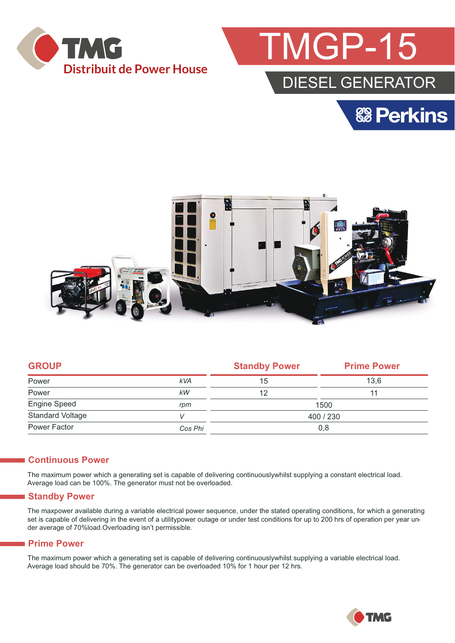



# DIESEL GENERATOR





|            | <b>Standby Power</b> | <b>Prime Power</b> |  |
|------------|----------------------|--------------------|--|
| <b>kVA</b> | 15                   | 13.6               |  |
| kW         | 12                   | 11                 |  |
| rpm        | 1500                 |                    |  |
|            | 400 / 230            |                    |  |
| Cos Phi    | 0,8                  |                    |  |
|            |                      |                    |  |

#### **Continuous Power**

The maximum power which a generating set is capable of delivering continuouslywhilst supplying a constant electrical load. Average load can be 100%. The generator must not be overloaded.

#### **Standby Power**

The maxpower available during a variable electrical power sequence, under the stated operating conditions, for which a generating set is capable of delivering in the event of a utilitypower outage or under test conditions for up to 200 hrs of operation per year under average of 70%load.Overloading isn't permissible.

#### **Prime Power**

The maximum power which a generating set is capable of delivering continuouslywhilst supplying a variable electrical load. Average load should be 70%. The generator can be overloaded 10% for 1 hour per 12 hrs.

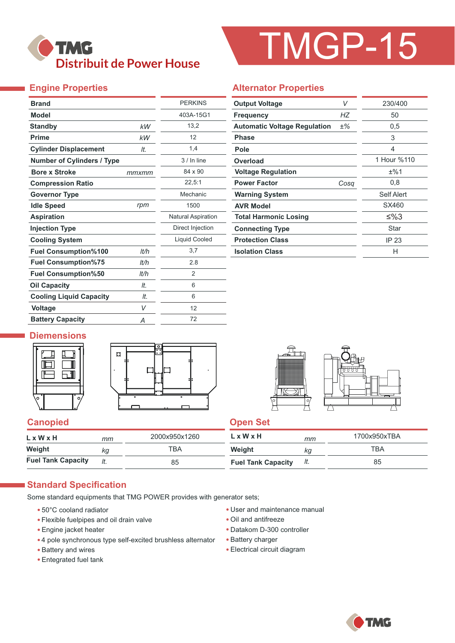

# TMGP-15

## **Engine Properties**

|       | <b>PERKINS</b>            |
|-------|---------------------------|
|       | 403A-15G1                 |
| kW    | 13,2                      |
| kW    | 12                        |
| It.   | 1,4                       |
|       | $3/$ In line              |
| ттхтт | 84 x 90                   |
|       | 22,5:1                    |
|       | Mechanic                  |
| rpm   | 1500                      |
|       | <b>Natural Aspiration</b> |
|       | Direct Injection          |
|       | <b>Liquid Cooled</b>      |
| It/h  | 3,7                       |
| lt/h  | 2.8                       |
| lt/h  | $\overline{2}$            |
| It.   | 6                         |
| It.   | 6                         |
| V     | 12                        |
| Α     | 72                        |
|       |                           |

#### **Alternator Properties**

| <b>Output Voltage</b>               | V     | 230/400     |  |  |
|-------------------------------------|-------|-------------|--|--|
| <b>Frequency</b>                    | НZ    | 50          |  |  |
| <b>Automatic Voltage Regulation</b> | $±\%$ | 0,5         |  |  |
| Phase                               |       | 3           |  |  |
| Pole                                |       | 4           |  |  |
| Overload                            |       | 1 Hour %110 |  |  |
| <b>Voltage Regulation</b>           |       | ±%1         |  |  |
| <b>Power Factor</b>                 | Cosa  | 0,8         |  |  |
| <b>Warning System</b>               |       | Self Alert  |  |  |
| <b>AVR Model</b>                    |       | SX460       |  |  |
| <b>Total Harmonic Losing</b>        |       | ≤%3         |  |  |
| <b>Connecting Type</b>              |       | Star        |  |  |
| <b>Protection Class</b>             |       | IP 23       |  |  |
| <b>Isolation Class</b>              |       | н           |  |  |

## **Diemensions**







#### **Canopied Canopied Canopied**

| $L \times W \times H$     | mт | 2000x950x1260 | L x W x H                 | mm  | 1700x950xTBA |
|---------------------------|----|---------------|---------------------------|-----|--------------|
| Weight                    | ka | ТВА           | Weight                    | ΚG  | ТВА          |
| <b>Fuel Tank Capacity</b> |    | 85            | <b>Fuel Tank Capacity</b> | It. | 85           |

#### **Standard Specification**

Some standard equipments that TMG POWER provides with generator sets;

- 50°C cooland radiator
- Flexible fuelpipes and oil drain valve
- Engine jacket heater
- 4 pole synchronous type self-excited brushless alternator
- Battery and wires
- Entegrated fuel tank
- User and maintenance manual
- Oil and antifreeze
- Datakom D-300 controller
- Battery charger
- Electrical circuit diagram